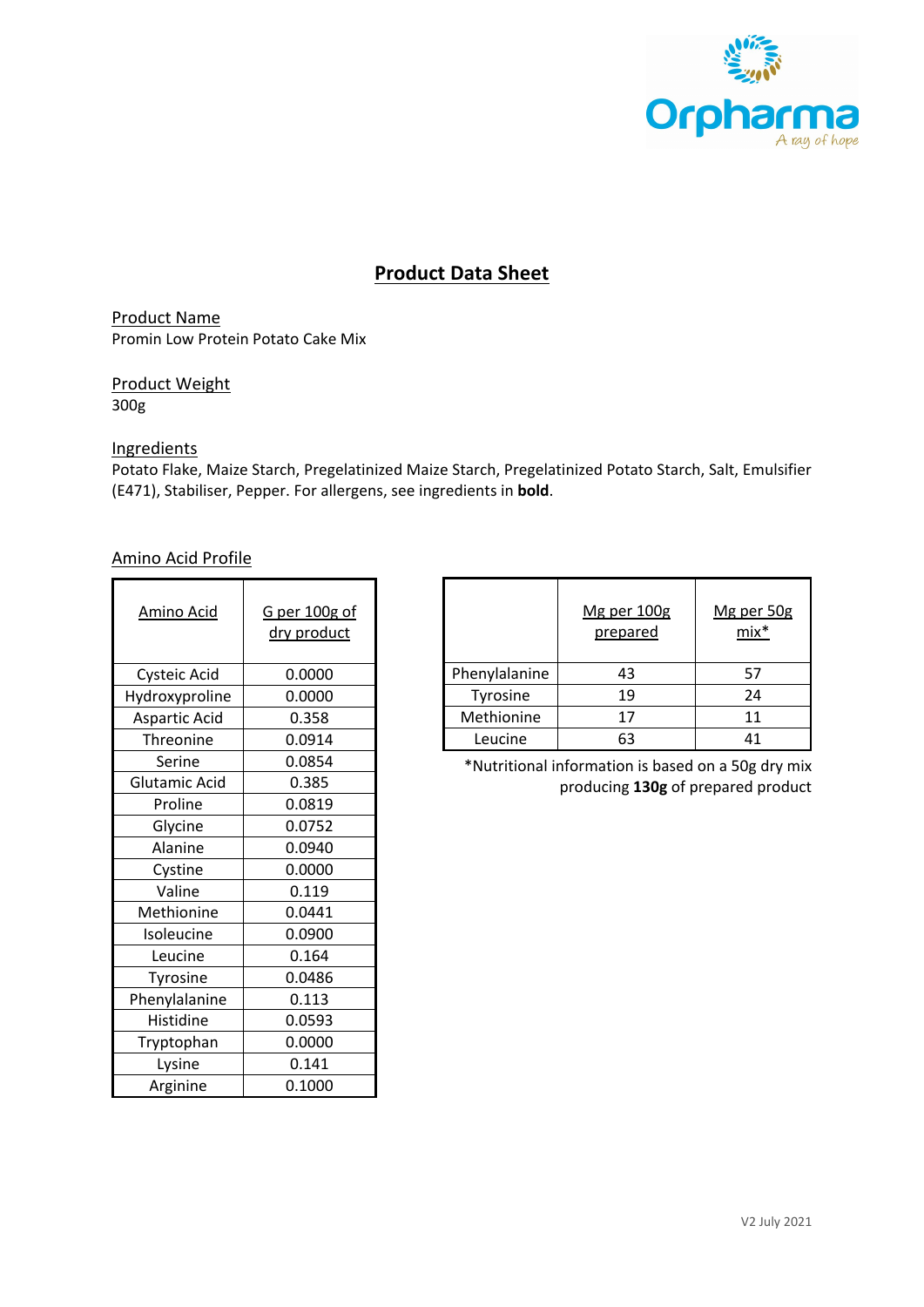

# **Product Data Sheet**

Product Name Promin Low Protein Potato Cake Mix

Product Weight 300g

## **Ingredients**

Potato Flake, Maize Starch, Pregelatinized Maize Starch, Pregelatinized Potato Starch, Salt, Emulsifier (E471), Stabiliser, Pepper. For allergens, see ingredients in **bold**.

#### Amino Acid Profile

| <b>Amino Acid</b>    | G per 100g of<br>dry product |  |  |
|----------------------|------------------------------|--|--|
| Cysteic Acid         | 0.0000                       |  |  |
| Hydroxyproline       | 0.0000                       |  |  |
| <b>Aspartic Acid</b> | 0.358                        |  |  |
| Threonine            | 0.0914                       |  |  |
| Serine               | 0.0854                       |  |  |
| Glutamic Acid        | 0.385                        |  |  |
| Proline              | 0.0819                       |  |  |
| Glycine              | 0.0752                       |  |  |
| Alanine              | 0.0940                       |  |  |
| Cystine              | 0.0000                       |  |  |
| Valine               | 0.119                        |  |  |
| Methionine           | 0.0441                       |  |  |
| Isoleucine           | 0.0900                       |  |  |
| Leucine              | 0.164                        |  |  |
| Tyrosine             | 0.0486                       |  |  |
| Phenylalanine        | 0.113                        |  |  |
| Histidine            | 0.0593                       |  |  |
| Tryptophan           | 0.0000                       |  |  |
| Lysine               | 0.141                        |  |  |
| Arginine             | 0.1000                       |  |  |

|               | Mg per 100g<br>prepared | Mg per 50g<br>$mix^*$ |
|---------------|-------------------------|-----------------------|
| Phenylalanine | 43                      | 57                    |
| Tyrosine      | 19                      | 24                    |
| Methionine    | 17                      | 11                    |
| Leucine       | 63                      |                       |

\*Nutritional information is based on a 50g dry mix producing **130g** of prepared product